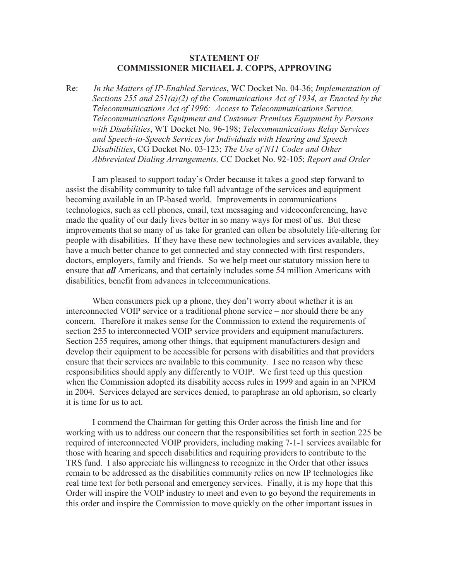## **STATEMENT OF COMMISSIONER MICHAEL J. COPPS, APPROVING**

Re: *In the Matters of IP-Enabled Services*, WC Docket No. 04-36; *Implementation of Sections 255 and 251(a)(2) of the Communications Act of 1934, as Enacted by the Telecommunications Act of 1996: Access to Telecommunications Service, Telecommunications Equipment and Customer Premises Equipment by Persons with Disabilities*, WT Docket No. 96-198; *Telecommunications Relay Services and Speech-to-Speech Services for Individuals with Hearing and Speech Disabilities*, CG Docket No. 03-123; *The Use of N11 Codes and Other Abbreviated Dialing Arrangements,* CC Docket No. 92-105; *Report and Order*

I am pleased to support today's Order because it takes a good step forward to assist the disability community to take full advantage of the services and equipment becoming available in an IP-based world. Improvements in communications technologies, such as cell phones, email, text messaging and videoconferencing, have made the quality of our daily lives better in so many ways for most of us. But these improvements that so many of us take for granted can often be absolutely life-altering for people with disabilities. If they have these new technologies and services available, they have a much better chance to get connected and stay connected with first responders, doctors, employers, family and friends. So we help meet our statutory mission here to ensure that *all* Americans, and that certainly includes some 54 million Americans with disabilities, benefit from advances in telecommunications.

When consumers pick up a phone, they don't worry about whether it is an interconnected VOIP service or a traditional phone service – nor should there be any concern. Therefore it makes sense for the Commission to extend the requirements of section 255 to interconnected VOIP service providers and equipment manufacturers. Section 255 requires, among other things, that equipment manufacturers design and develop their equipment to be accessible for persons with disabilities and that providers ensure that their services are available to this community. I see no reason why these responsibilities should apply any differently to VOIP. We first teed up this question when the Commission adopted its disability access rules in 1999 and again in an NPRM in 2004. Services delayed are services denied, to paraphrase an old aphorism, so clearly it is time for us to act.

I commend the Chairman for getting this Order across the finish line and for working with us to address our concern that the responsibilities set forth in section 225 be required of interconnected VOIP providers, including making 7-1-1 services available for those with hearing and speech disabilities and requiring providers to contribute to the TRS fund. I also appreciate his willingness to recognize in the Order that other issues remain to be addressed as the disabilities community relies on new IP technologies like real time text for both personal and emergency services. Finally, it is my hope that this Order will inspire the VOIP industry to meet and even to go beyond the requirements in this order and inspire the Commission to move quickly on the other important issues in